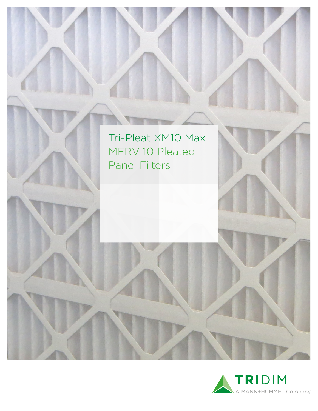

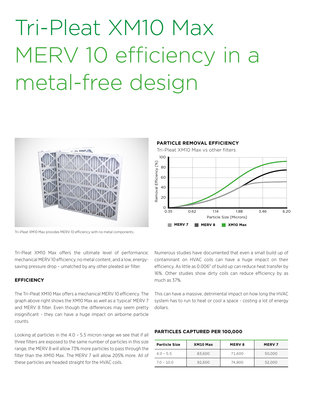# Tri-Pleat XM10 Max MERV 10 efficiency in a metal-free design





Tri-Pleat XM10 Max offers the ultimate level of performance; mechanical MERV 10 efficiency, no metal content, and a low, energysaving pressure drop – umatched by any other pleated air filter.

### **EFFICIENCY**

The Tri-Pleat XM10 Max offers a mechanical MERV 10 efficiency. The graph above right shows the XM10 Max as well as a 'typical' MERV 7 and MERV 8 filter. Even though the differences may seem pretty insignificant - they can have a huge impact on airborne particle counts.

Looking at particles in the 4.0 – 5.5 micron range we see that if all three filters are exposed to the same number of particles in this size range, the MERV 8 will allow 73% more particles to pass through the filter than the XM10 Max. The MERV 7 will allow 205% more. All of these particles are headed straight for the HVAC coils.



Numerous studies have documented that even a small build up of contaminant on HVAC coils can have a huge impact on their efficiency. As little as 0.006" of build up can reduce heat transfer by 16%. Other studies show dirty coils can reduce efficiency by as much as 37%.

This can have a massive, detrimental impact on how long the HVAC system has to run to heat or cool a space - costing a lot of energy dollars.

#### **PARTICLES CAPTURED PER 100,000**

| <b>Particle Size</b> | XM10 Max | <b>MERV8</b> | <b>MERV7</b> |
|----------------------|----------|--------------|--------------|
| $4.0 - 5.5$          | 83.600   | 71.600       | 50,000       |
| $7.0 - 10.0$         | 92.600   | 74.800       | 52,000       |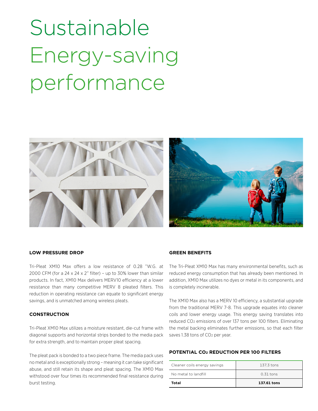# Sustainable Energy-saving performance



### **LOW PRESSURE DROP**

Tri-Pleat XM10 Max offers a low resistance of 0.28 "W.G. at 2000 CFM (for a 24 x 24 x 2" filter) - up to 30% lower than similar products. In fact, XM10 Max delivers MERV10 efficiency at a lower resistance than many competitive MERV 8 pleated filters. This reduction in operating resistance can equate to significant energy savings, and is unmatched among wireless pleats.

## **CONSTRUCTION**

Tri-Pleat XM10 Max utilizes a moisture resistant, die-cut frame with diagonal supports and horizontal strips bonded to the media pack for extra strength, and to maintain proper pleat spacing.

The pleat pack is bonded to a two piece frame. The media pack uses no metal and is exceptionally strong – meaning it can take significant abuse, and still retain its shape and pleat spacing. The XM10 Max withstood over four times its recommended final resistance during burst testing.

## **GREEN BENEFITS**

The Tri-Pleat XM10 Max has many environmental benefits, such as reduced energy consumption that has already been mentioned. In addition, XM10 Max utilizes no dyes or metal in its components, and is completely incinerable.

The XM10 Max also has a MERV 10 efficiency, a substantial upgrade from the traditional MERV 7-8. This upgrade equates into cleaner coils and lower energy usage. This energy saving translates into reduced CO2 emissions of over 137 tons per 100 filters. Eliminating the metal backing eliminates further emissions, so that each filter saves 1.38 tons of CO<sub>2</sub> per year.

#### **POTENTIAL CO2 REDUCTION PER 100 FILTERS**

| Cleaner coils energy savings | 137.3 tons  |  |
|------------------------------|-------------|--|
| No metal to landfill         | $0.31$ tons |  |
| Total                        | 137.61 tons |  |